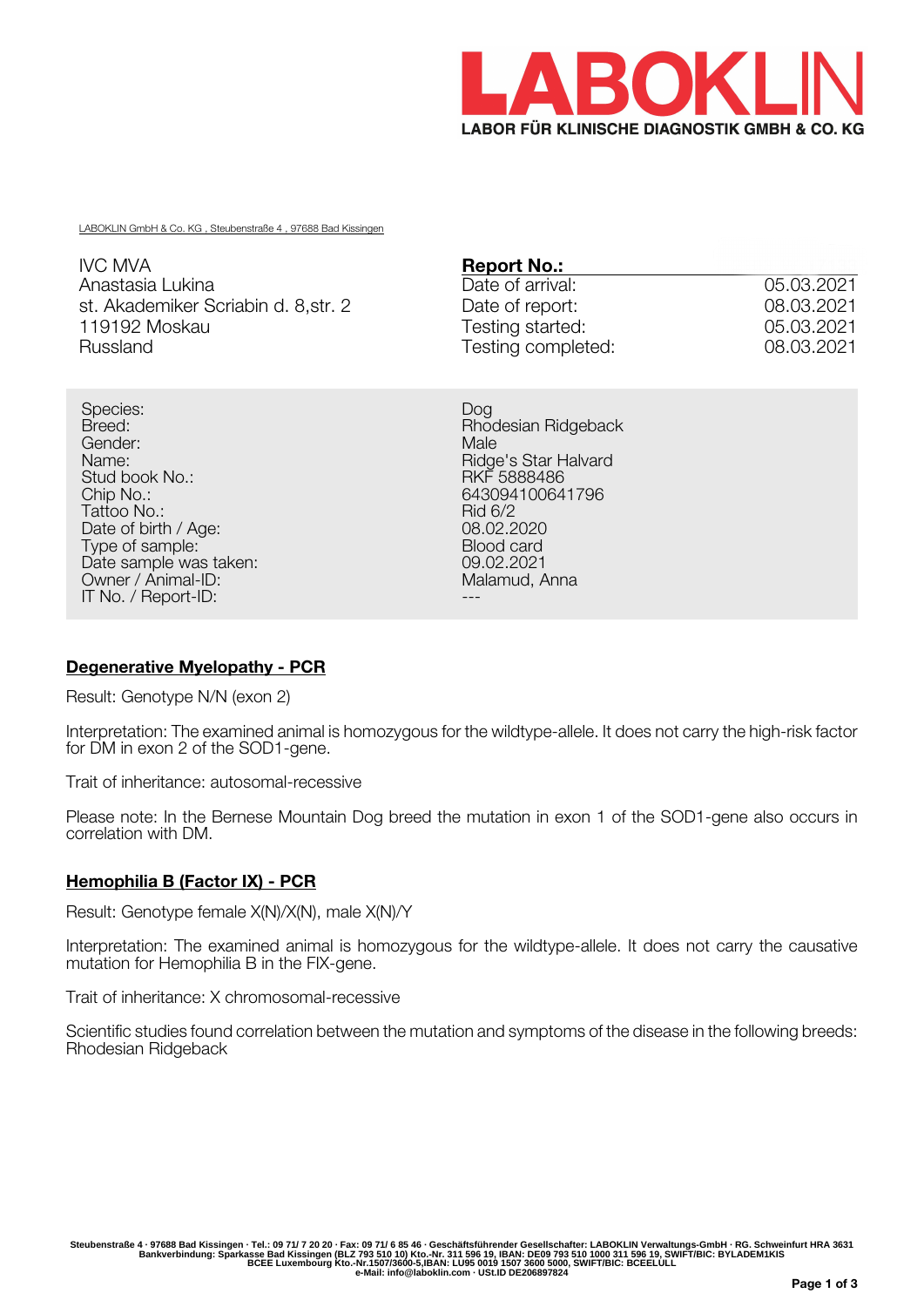

LABOKLIN GmbH & Co. KG , Steubenstraße 4 , 97688 Bad Kissingen

| IVC MVA                              | <b>Report No.:</b> |            |
|--------------------------------------|--------------------|------------|
| Anastasia Lukina                     | Date of arrival:   | 05.03.2021 |
| st. Akademiker Scriabin d. 8, str. 2 | Date of report:    | 08.03.2021 |
| 119192 Moskau                        | Testing started:   | 05.03.2021 |
| Russland                             | Testing completed: | 08.03.2021 |

Species: Dog Breed: Rhodesian Ridgeback Gender: Male Stud book No.:<br>Chip No.: Tattoo No.: Rid 6/2 Date of birth / Age: 08.02.2020<br>
Type of sample: 08.02.2020<br>
Discrete: 08.02.2020 Type of sample: Type of sample: Electronic card<br>Date sample was taken: Electronic control of the US-02-2021 Date sample was taken: 09.02.2021<br>
Owner / Animal-ID: 09.02.2021<br>
Malamud. Anna Owner / Animal-ID: IT No. / Report-ID:

Ridge's Star Halvard<br>RKF 5888486 643094100641796<br>Rid 6/2

## **Degenerative Myelopathy - PCR**

Result: Genotype N/N (exon 2)

Interpretation: The examined animal is homozygous for the wildtype-allele. It does not carry the high-risk factor for DM in exon 2 of the SOD1-gene.

Trait of inheritance: autosomal-recessive

Please note: In the Bernese Mountain Dog breed the mutation in exon 1 of the SOD1-gene also occurs in correlation with DM.

## **Hemophilia B (Factor IX) - PCR**

Result: Genotype female X(N)/X(N), male X(N)/Y

Interpretation: The examined animal is homozygous for the wildtype-allele. It does not carry the causative mutation for Hemophilia B in the FIX-gene.

Trait of inheritance: X chromosomal-recessive

Scientific studies found correlation between the mutation and symptoms of the disease in the following breeds: Rhodesian Ridgeback

Steubenstraße 4 · 97688 Bad Kissingen · Tel.: 09 71/ 7 20 20 · Fax: 09 71/ 6 85 46 · Geschäftsführender Gesellschafter: LABOKLIN Verwaltungs-GmbH · RG. Schweinfurt HRA 3631<br>Bankverbindung: Sparkasse Bad Kissingen (BLZ 793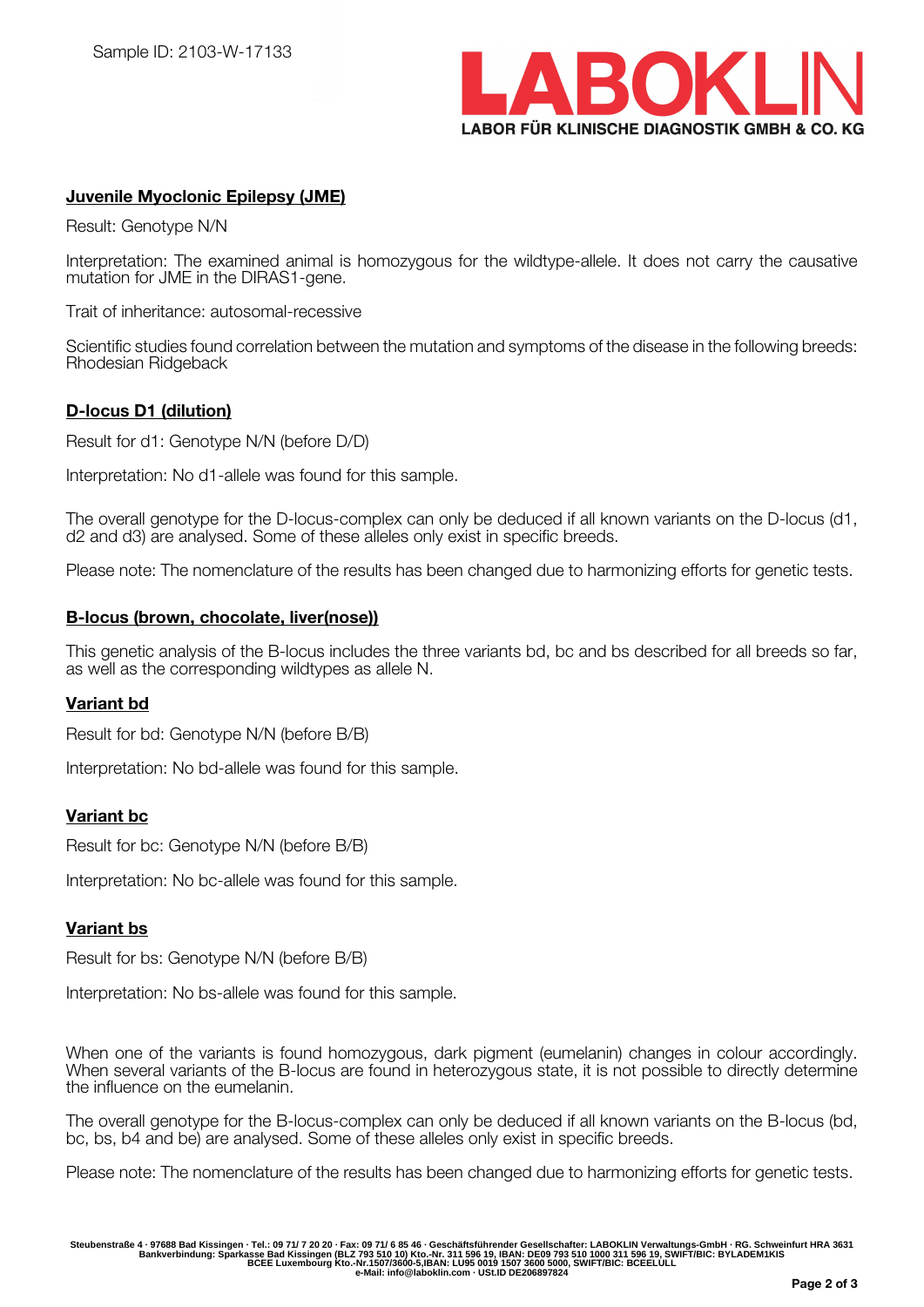

# **Juvenile Myoclonic Epilepsy (JME)**

Result: Genotype N/N

Interpretation: The examined animal is homozygous for the wildtype-allele. It does not carry the causative mutation for JME in the DIRAS1-gene.

Trait of inheritance: autosomal-recessive

Scientific studies found correlation between the mutation and symptoms of the disease in the following breeds: Rhodesian Ridgeback

### **D-locus D1 (dilution)**

Result for d1: Genotype N/N (before D/D)

Interpretation: No d1-allele was found for this sample.

The overall genotype for the D-locus-complex can only be deduced if all known variants on the D-locus (d1, d2 and d3) are analysed. Some of these alleles only exist in specific breeds.

Please note: The nomenclature of the results has been changed due to harmonizing efforts for genetic tests.

#### **B-locus (brown, chocolate, liver(nose))**

This genetic analysis of the B-locus includes the three variants bd, bc and bs described for all breeds so far, as well as the corresponding wildtypes as allele N.

#### **Variant bd**

Result for bd: Genotype N/N (before B/B)

Interpretation: No bd-allele was found for this sample.

## **Variant bc**

Result for bc: Genotype N/N (before B/B)

Interpretation: No bc-allele was found for this sample.

#### **Variant bs**

Result for bs: Genotype N/N (before B/B)

Interpretation: No bs-allele was found for this sample.

When one of the variants is found homozygous, dark pigment (eumelanin) changes in colour accordingly. When several variants of the B-locus are found in heterozygous state, it is not possible to directly determine the influence on the eumelanin.

The overall genotype for the B-locus-complex can only be deduced if all known variants on the B-locus (bd, bc, bs, b4 and be) are analysed. Some of these alleles only exist in specific breeds.

Please note: The nomenclature of the results has been changed due to harmonizing efforts for genetic tests.